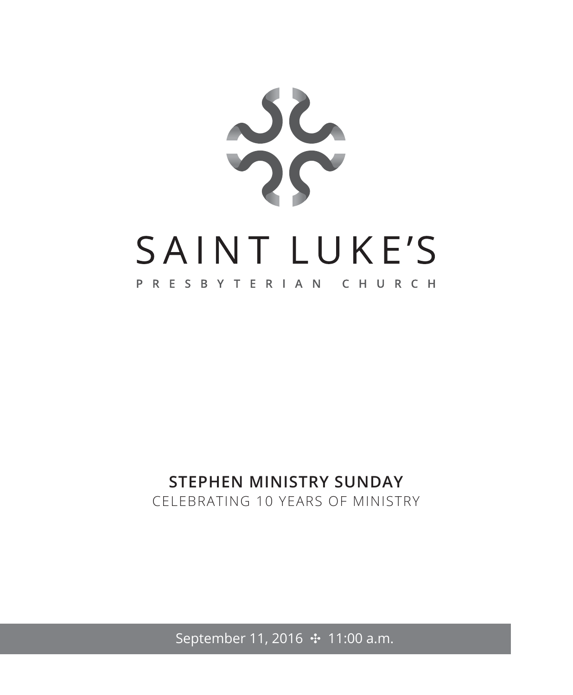

# **STEPHEN MINISTRY SUNDAY**

CELEBRATING 10 YEARS OF MINISTRY

September 11, 2016 ↔ 11:00 a.m.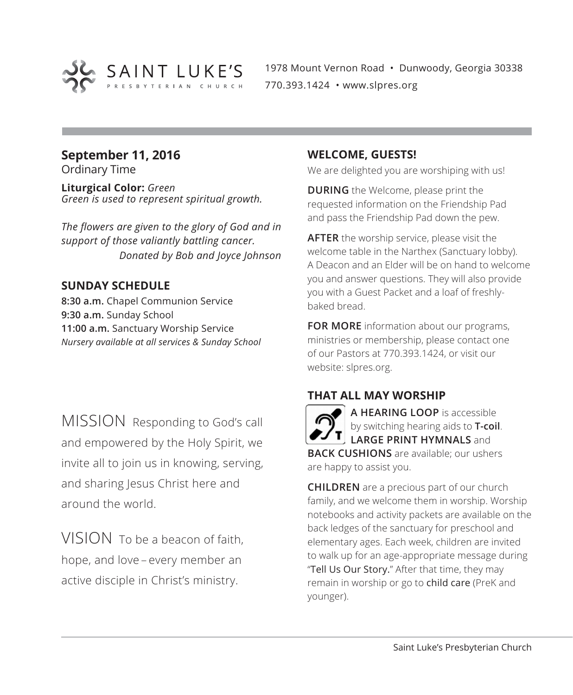

1978 Mount Vernon Road • Dunwoody, Georgia 30338 770.393.1424 • www.slpres.org

# **September 11, 2016**

Ordinary Time

**Liturgical Color:** *Green Green is used to represent spiritual growth.*

*The flowers are given to the glory of God and in support of those valiantly battling cancer. Donated by Bob and Joyce Johnson*

#### **SUNDAY SCHEDULE**

**8:30 a.m.** Chapel Communion Service **9:30 a.m.** Sunday School **11:00 a.m.** Sanctuary Worship Service *Nursery available at all services & Sunday School*

MISSION Responding to God's call and empowered by the Holy Spirit, we invite all to join us in knowing, serving, and sharing Jesus Christ here and around the world.

VISION To be a beacon of faith hope, and love – every member an active disciple in Christ's ministry.

#### **WELCOME, GUESTS!**

We are delighted you are worshiping with us!

**DURING** the Welcome, please print the requested information on the Friendship Pad and pass the Friendship Pad down the pew.

**AFTER** the worship service, please visit the welcome table in the Narthex (Sanctuary lobby). A Deacon and an Elder will be on hand to welcome you and answer questions. They will also provide you with a Guest Packet and a loaf of freshlybaked bread.

**FOR MORE** information about our programs, ministries or membership, please contact one of our Pastors at 770.393.1424, or visit our website: slpres.org.

#### **THAT ALL MAY WORSHIP**

**A HEARING LOOP** is accessible by switching hearing aids to **T-coil**. **LARGE PRINT HYMNALS** and **BACK CUSHIONS** are available; our ushers are happy to assist you.

**CHILDREN** are a precious part of our church family, and we welcome them in worship. Worship notebooks and activity packets are available on the back ledges of the sanctuary for preschool and elementary ages. Each week, children are invited to walk up for an age-appropriate message during "Tell Us Our Story." After that time, they may remain in worship or go to child care (PreK and younger).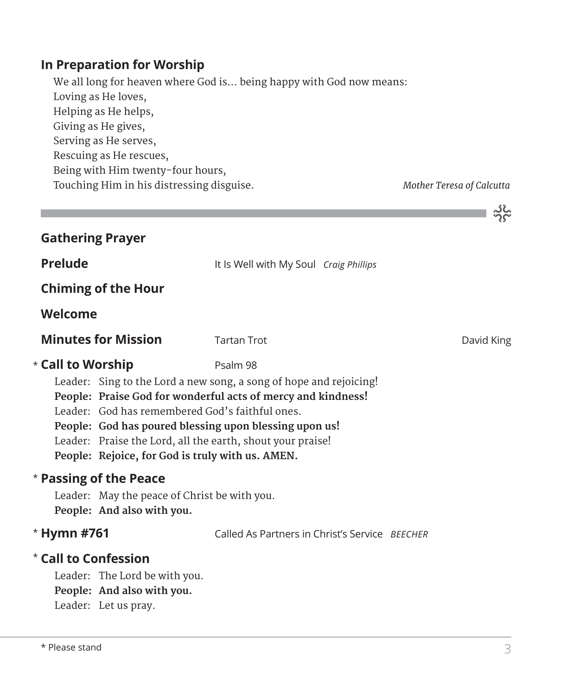#### **In Preparation for Worship**

 We all long for heaven where God is... being happy with God now means: Loving as He loves, Helping as He helps, Giving as He gives, Serving as He serves, Rescuing as He rescues, Being with Him twenty-four hours, Touching Him in his distressing disguise. *Mother Teresa of Calcutta*

یځ که

|                         |                                                                                                                                                                                                                                                                                                                                                                                                    |                                                |  | $\Omega_{\rm C}$ |
|-------------------------|----------------------------------------------------------------------------------------------------------------------------------------------------------------------------------------------------------------------------------------------------------------------------------------------------------------------------------------------------------------------------------------------------|------------------------------------------------|--|------------------|
| <b>Gathering Prayer</b> |                                                                                                                                                                                                                                                                                                                                                                                                    |                                                |  |                  |
| <b>Prelude</b>          |                                                                                                                                                                                                                                                                                                                                                                                                    | It Is Well with My Soul Craig Phillips         |  |                  |
|                         | <b>Chiming of the Hour</b>                                                                                                                                                                                                                                                                                                                                                                         |                                                |  |                  |
| Welcome                 |                                                                                                                                                                                                                                                                                                                                                                                                    |                                                |  |                  |
|                         | <b>Minutes for Mission</b>                                                                                                                                                                                                                                                                                                                                                                         | <b>Tartan Trot</b>                             |  | David King       |
|                         | * Call to Worship<br>Psalm 98<br>Leader: Sing to the Lord a new song, a song of hope and rejoicing!<br>People: Praise God for wonderful acts of mercy and kindness!<br>Leader: God has remembered God's faithful ones.<br>People: God has poured blessing upon blessing upon us!<br>Leader: Praise the Lord, all the earth, shout your praise!<br>People: Rejoice, for God is truly with us. AMEN. |                                                |  |                  |
|                         | * Passing of the Peace<br>Leader: May the peace of Christ be with you.<br>People: And also with you.                                                                                                                                                                                                                                                                                               |                                                |  |                  |
| * Hymn #761             |                                                                                                                                                                                                                                                                                                                                                                                                    | Called As Partners in Christ's Service BEECHER |  |                  |
| * Call to Confession    | Leader: The Lord be with you.<br>People: And also with you.<br>Leader: Let us pray.                                                                                                                                                                                                                                                                                                                |                                                |  |                  |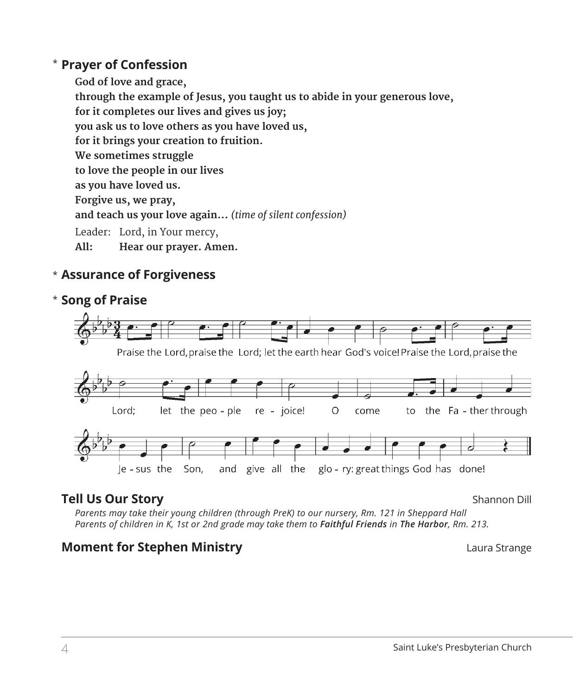#### **Prayer of Confession**  \*

 **God of love and grace, through the example of Jesus, you taught us to abide in your generous love, for it completes our lives and gives us joy; you ask us to love others as you have loved us, for it brings your creation to fruition. We sometimes struggle to love the people in our lives as you have loved us. Forgive us, we pray, and teach us your love again...** *(time of silent confession)* Leader: Lord, in Your mercy, **All: Hear our prayer. Amen.**

#### **Assurance of Forgiveness** \*



#### **Tell Us Our Story** Shannon Dill

*Parents may take their young children (through PreK) to our nursery, Rm. 121 in Sheppard Hall Parents of children in K, 1st or 2nd grade may take them to Faithful Friends in The Harbor, Rm. 213.* 

#### **Moment for Stephen Ministry Laura Strange 19 and Strange 10 and Strange 10 and Strange 10 and Strange 10 and Strange 10 and Strange 10 and Strange 10 and Strange 10 and Strange 10 and Strange 10 and Strange 10 and Stran**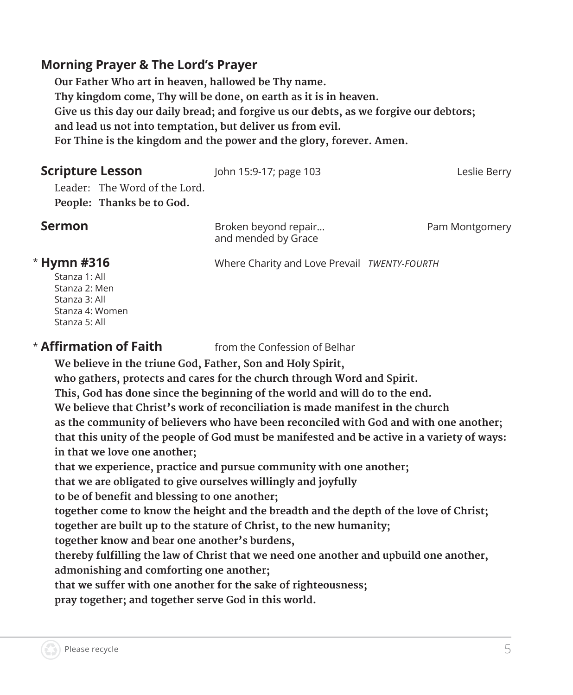#### **Morning Prayer & The Lord's Prayer**

 **Our Father Who art in heaven, hallowed be Thy name. Thy kingdom come, Thy will be done, on earth as it is in heaven. Give us this day our daily bread; and forgive us our debts, as we forgive our debtors; and lead us not into temptation, but deliver us from evil. For Thine is the kingdom and the power and the glory, forever. Amen.**

**Scripture Lesson** John 15:9-17; page 103 Leslie Berry

Leader: The Word of the Lord. **People: Thanks be to God.** 

**Sermon Broken beyond repair...** Pam Montgomery and mended by Grace

#### \* Hymn #316

Stanza 1: All Stanza 2: Men Stanza 3: All Stanza 4: Women Stanza 5: All

#### $*$  Affirmation of Faith

**Affirmation of Faith** from the Confession of Belhar

**Hymn #316** Where Charity and Love Prevail *TWENTY-FOURTH*

 **We believe in the triune God, Father, Son and Holy Spirit,** 

**who gathers, protects and cares for the church through Word and Spirit.** 

**This, God has done since the beginning of the world and will do to the end.** 

**We believe that Christ's work of reconciliation is made manifest in the church** 

**as the community of believers who have been reconciled with God and with one another;** 

**that this unity of the people of God must be manifested and be active in a variety of ways: in that we love one another;** 

**that we experience, practice and pursue community with one another;** 

**that we are obligated to give ourselves willingly and joyfully** 

**to be of benefit and blessing to one another;** 

**together come to know the height and the breadth and the depth of the love of Christ;** 

**together are built up to the stature of Christ, to the new humanity;** 

**together know and bear one another's burdens,** 

**thereby fulfilling the law of Christ that we need one another and upbuild one another, admonishing and comforting one another;** 

**that we suffer with one another for the sake of righteousness;** 

**pray together; and together serve God in this world.**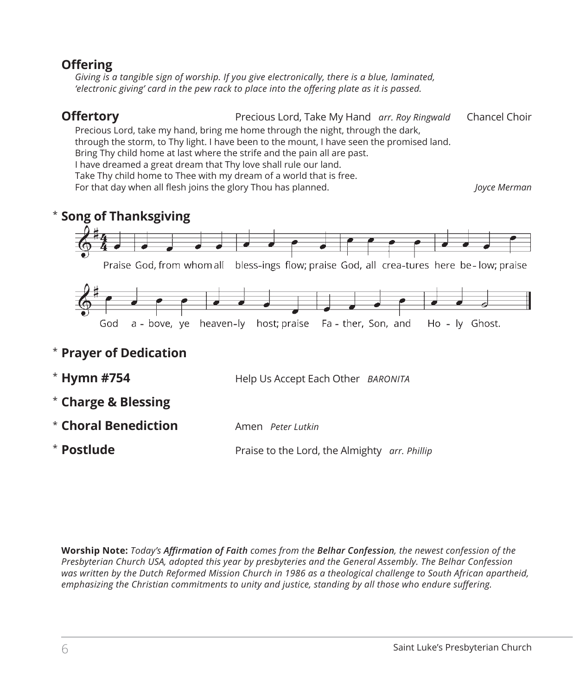#### **Offering**

*Giving is a tangible sign of worship. If you give electronically, there is a blue, laminated, 'electronic giving' card in the pew rack to place into the offering plate as it is passed.* 

**Offertory Precious Lord, Take My Hand** *arr. Roy Ringwald* Chancel Choir

Precious Lord, take my hand, bring me home through the night, through the dark,

through the storm, to Thy light. I have been to the mount, I have seen the promised land.

Bring Thy child home at last where the strife and the pain all are past.

I have dreamed a great dream that Thy love shall rule our land.

Take Thy child home to Thee with my dream of a world that is free.

For that day when all flesh joins the glory Thou has planned. *Joyce Merman*

#### $^{\star}$  Song of Thanksgiving



- **Charge & Blessing** \*
- **Choral Benediction** Amen *Peter Lutkin* \*
- Praise to the Lord, the Almighty *arr. Phillip* **\* Postlude**

**Worship Note:** *Today's Affirmation of Faith comes from the Belhar Confession, the newest confession of the Presbyterian Church USA, adopted this year by presbyteries and the General Assembly. The Belhar Confession*  was written by the Dutch Reformed Mission Church in 1986 as a theological challenge to South African apartheid, *emphasizing the Christian commitments to unity and justice, standing by all those who endure suffering.*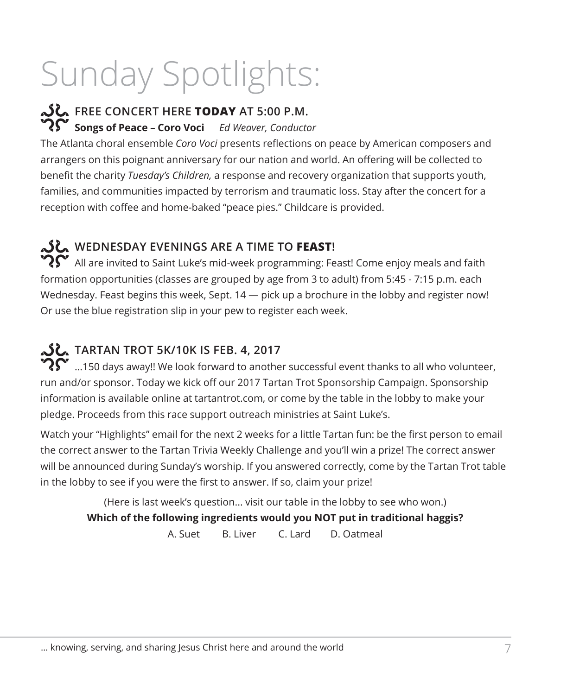# Sunday Spotlights:

# **FREE CONCERT HERE TODAY AT 5:00 P.M.**

**Songs of Peace – Coro Voci** *Ed Weaver, Conductor*

The Atlanta choral ensemble *Coro Voci* presents reflections on peace by American composers and arrangers on this poignant anniversary for our nation and world. An offering will be collected to benefit the charity *Tuesday's Children,* a response and recovery organization that supports youth, families, and communities impacted by terrorism and traumatic loss. Stay after the concert for a reception with coffee and home-baked "peace pies." Childcare is provided.

## **WEDNESDAY EVENINGS ARE A TIME TO FEAST!**

 $\mathbf{P} \mathbf{S}$  All are invited to Saint Luke's mid-week programming: Feast! Come enjoy meals and faith formation opportunities (classes are grouped by age from 3 to adult) from 5:45 - 7:15 p.m. each Wednesday. Feast begins this week, Sept.  $14$   $-$  pick up a brochure in the lobby and register now! Or use the blue registration slip in your pew to register each week.

### **TARTAN TROT 5K/10K IS FEB. 4, 2017**

 ${\bf \Im \Gamma}$  ....150 days away!! We look forward to another successful event thanks to all who volunteer, run and/or sponsor. Today we kick off our 2017 Tartan Trot Sponsorship Campaign. Sponsorship information is available online at tartantrot.com, or come by the table in the lobby to make your pledge. Proceeds from this race support outreach ministries at Saint Luke's.

Watch your "Highlights" email for the next 2 weeks for a little Tartan fun: be the first person to email the correct answer to the Tartan Trivia Weekly Challenge and you'll win a prize! The correct answer will be announced during Sunday's worship. If you answered correctly, come by the Tartan Trot table in the lobby to see if you were the first to answer. If so, claim your prize!

(Here is last week's question... visit our table in the lobby to see who won.) **Which of the following ingredients would you NOT put in traditional haggis?** A. Suet B. Liver C. Lard D. Oatmeal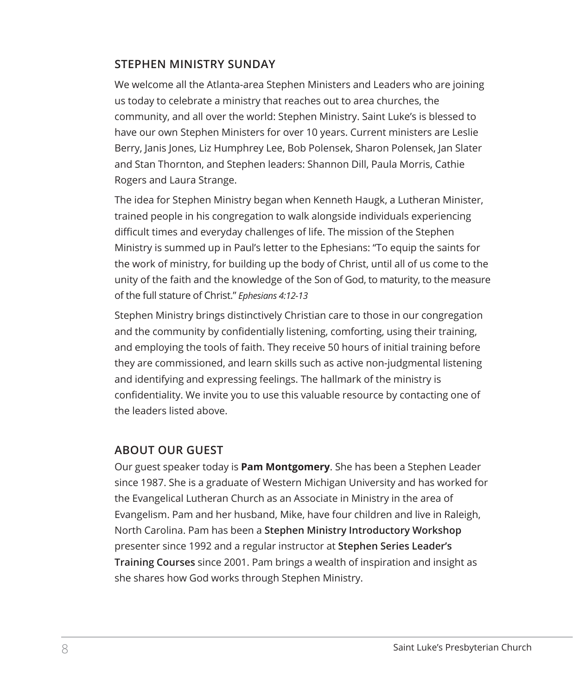#### **STEPHEN MINISTRY SUNDAY**

We welcome all the Atlanta-area Stephen Ministers and Leaders who are joining us today to celebrate a ministry that reaches out to area churches, the community, and all over the world: Stephen Ministry. Saint Luke's is blessed to have our own Stephen Ministers for over 10 years. Current ministers are Leslie Berry, Janis Jones, Liz Humphrey Lee, Bob Polensek, Sharon Polensek, Jan Slater and Stan Thornton, and Stephen leaders: Shannon Dill, Paula Morris, Cathie Rogers and Laura Strange.

The idea for Stephen Ministry began when Kenneth Haugk, a Lutheran Minister, trained people in his congregation to walk alongside individuals experiencing difficult times and everyday challenges of life. The mission of the Stephen Ministry is summed up in Paul's letter to the Ephesians: "To equip the saints for the work of ministry, for building up the body of Christ, until all of us come to the unity of the faith and the knowledge of the Son of God, to maturity, to the measure of the full stature of Christ." *Ephesians 4:12-13*

Stephen Ministry brings distinctively Christian care to those in our congregation and the community by confidentially listening, comforting, using their training, and employing the tools of faith. They receive 50 hours of initial training before they are commissioned, and learn skills such as active non-judgmental listening and identifying and expressing feelings. The hallmark of the ministry is confidentiality. We invite you to use this valuable resource by contacting one of the leaders listed above.

#### **ABOUT OUR GUEST**

Our guest speaker today is **Pam Montgomery**. She has been a Stephen Leader since 1987. She is a graduate of Western Michigan University and has worked for the Evangelical Lutheran Church as an Associate in Ministry in the area of Evangelism. Pam and her husband, Mike, have four children and live in Raleigh, North Carolina. Pam has been a **Stephen Ministry Introductory Workshop** presenter since 1992 and a regular instructor at **Stephen Series Leader's Training Courses** since 2001. Pam brings a wealth of inspiration and insight as she shares how God works through Stephen Ministry.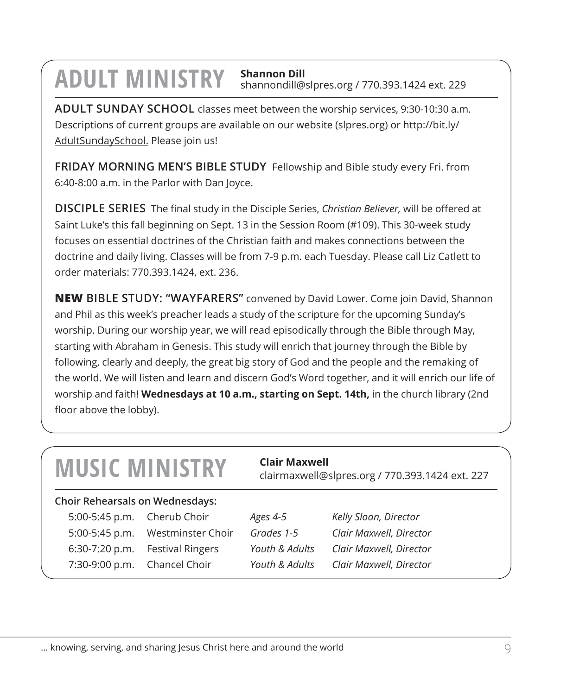## **ADULT MINISTRY Shannon Dill** shannondill@slpres.org / 770.393.1424 ext. 229

**ADULT SUNDAY SCHOOL** classes meet between the worship services, 9:30-10:30 a.m. Descriptions of current groups are available on our website (slpres.org) or http://bit.ly/ AdultSundaySchool. Please join us!

**FRIDAY MORNING MEN'S BIBLE STUDY** Fellowship and Bible study every Fri. from 6:40-8:00 a.m. in the Parlor with Dan Joyce.

**DISCIPLE SERIES** The final study in the Disciple Series, *Christian Believer,* will be offered at Saint Luke's this fall beginning on Sept. 13 in the Session Room (#109). This 30-week study focuses on essential doctrines of the Christian faith and makes connections between the doctrine and daily living. Classes will be from 7-9 p.m. each Tuesday. Please call Liz Catlett to order materials: 770.393.1424, ext. 236.

**NEW BIBLE STUDY: "WAYFARERS"** convened by David Lower. Come join David, Shannon and Phil as this week's preacher leads a study of the scripture for the upcoming Sunday's worship. During our worship year, we will read episodically through the Bible through May, starting with Abraham in Genesis. This study will enrich that journey through the Bible by following, clearly and deeply, the great big story of God and the people and the remaking of the world. We will listen and learn and discern God's Word together, and it will enrich our life of worship and faith! **Wednesdays at 10 a.m., starting on Sept. 14th,** in the church library (2nd floor above the lobby).

| <b>MUSIC MINISTRY</b> |  |
|-----------------------|--|
|-----------------------|--|

#### **Choir Rehearsals on Wednesdays:**

5:00-5:45 p.m. Cherub Choir *Ages 4-5 Kelly Sloan, Director* 5:00-5:45 p.m. Westminster Choir *Grades 1-5 Clair Maxwell, Director* 6:30-7:20 p.m. Festival Ringers *Youth & Adults Clair Maxwell, Director*

**MUSIC MINISTRY Clair Maxwell** Clair Clair Conserver Clairmaxwell Cost pres.org / 770.393.1424 ext. 227

7:30-9:00 p.m. Chancel Choir *Youth & Adults Clair Maxwell, Director*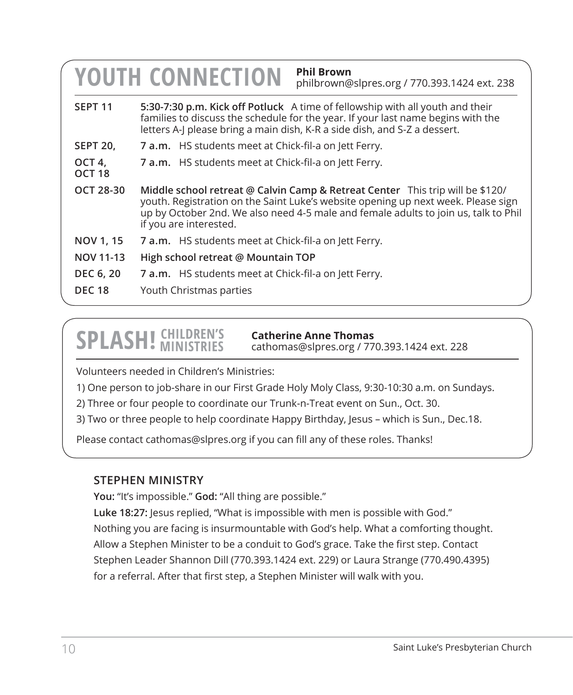|                             | <b>Phil Brown</b><br><b>YOUTH CONNECTION</b><br>philbrown@slpres.org / 770.393.1424 ext. 238                                                                                                                                                                                        |  |  |
|-----------------------------|-------------------------------------------------------------------------------------------------------------------------------------------------------------------------------------------------------------------------------------------------------------------------------------|--|--|
| SEPT <sub>11</sub>          | 5:30-7:30 p.m. Kick off Potluck A time of fellowship with all youth and their<br>families to discuss the schedule for the year. If your last name begins with the<br>letters A-J please bring a main dish, K-R a side dish, and S-Z a dessert.                                      |  |  |
| <b>SEPT 20,</b>             | <b>7 a.m.</b> HS students meet at Chick-fil-a on Jett Ferry.                                                                                                                                                                                                                        |  |  |
| OCT 4,<br>OCT <sub>18</sub> | 7 a.m. HS students meet at Chick-fil-a on Jett Ferry.                                                                                                                                                                                                                               |  |  |
| OCT 28-30                   | Middle school retreat @ Calvin Camp & Retreat Center This trip will be \$120/<br>youth. Registration on the Saint Luke's website opening up next week. Please sign<br>up by October 2nd. We also need 4-5 male and female adults to join us, talk to Phil<br>if you are interested. |  |  |
| NOV 1, 15                   | 7 a.m. HS students meet at Chick-fil-a on Jett Ferry.                                                                                                                                                                                                                               |  |  |
| NOV 11-13                   | High school retreat @ Mountain TOP                                                                                                                                                                                                                                                  |  |  |
| DEC 6, 20                   | <b>7 a.m.</b> HS students meet at Chick-fil-a on Jett Ferry.                                                                                                                                                                                                                        |  |  |
| <b>DEC 18</b>               | Youth Christmas parties                                                                                                                                                                                                                                                             |  |  |

# **SPLASH!** CHILDREN'S

**Catherine Anne Thomas**

cathomas@slpres.org / 770.393.1424 ext. 228

Volunteers needed in Children's Ministries:

1) One person to job-share in our First Grade Holy Moly Class, 9:30-10:30 a.m. on Sundays.

2) Three or four people to coordinate our Trunk-n-Treat event on Sun., Oct. 30.

3) Two or three people to help coordinate Happy Birthday, Jesus – which is Sun., Dec.18.

Please contact cathomas@slpres.org if you can fill any of these roles. Thanks!

#### **STEPHEN MINISTRY**

**You:** "It's impossible." **God:** "All thing are possible."

**Luke 18:27:** Jesus replied, "What is impossible with men is possible with God." Nothing you are facing is insurmountable with God's help. What a comforting thought. Allow a Stephen Minister to be a conduit to God's grace. Take the first step. Contact Stephen Leader Shannon Dill (770.393.1424 ext. 229) or Laura Strange (770.490.4395) for a referral. After that first step, a Stephen Minister will walk with you.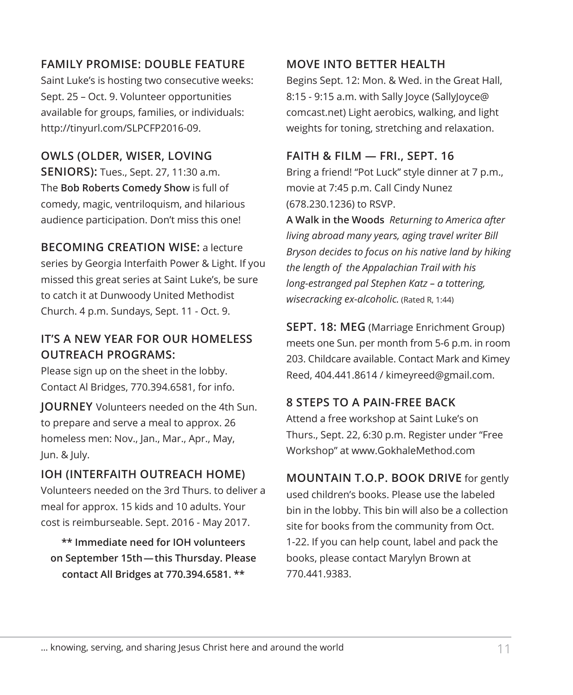#### **FAMILY PROMISE: DOUBLE FEATURE**

Saint Luke's is hosting two consecutive weeks: Sept. 25 – Oct. 9. Volunteer opportunities available for groups, families, or individuals: http://tinyurl.com/SLPCFP2016-09.

#### **OWLS (OLDER, WISER, LOVING SENIORS):** Tues., Sept. 27, 11:30 a.m. The **Bob Roberts Comedy Show** is full of comedy, magic, ventriloquism, and hilarious audience participation. Don't miss this one!

**BECOMING CREATION WISE:** a lecture series by Georgia Interfaith Power & Light. If you missed this great series at Saint Luke's, be sure to catch it at Dunwoody United Methodist Church. 4 p.m. Sundays, Sept. 11 - Oct. 9.

#### **IT'S A NEW YEAR FOR OUR HOMELESS OUTREACH PROGRAMS:**

Please sign up on the sheet in the lobby. Contact Al Bridges, 770.394.6581, for info.

**JOURNEY** Volunteers needed on the 4th Sun. to prepare and serve a meal to approx. 26 homeless men: Nov., Jan., Mar., Apr., May, Jun. & July.

#### **IOH (INTERFAITH OUTREACH HOME)** Volunteers needed on the 3rd Thurs. to deliver a meal for approx. 15 kids and 10 adults. Your cost is reimburseable. Sept. 2016 - May 2017.

**\*\* Immediate need for IOH volunteers on September 15th—this Thursday. Please contact All Bridges at 770.394.6581. \*\***

#### **MOVE INTO BETTER HEALTH**

Begins Sept. 12: Mon. & Wed. in the Great Hall, 8:15 - 9:15 a.m. with Sally Joyce (SallyJoyce@ comcast.net) Light aerobics, walking, and light weights for toning, stretching and relaxation.

#### **FAITH & FILM — FRI., SEPT. 16**

Bring a friend! "Pot Luck" style dinner at 7 p.m., movie at 7:45 p.m. Call Cindy Nunez (678.230.1236) to RSVP.

**A Walk in the Woods** *Returning to America after living abroad many years, aging travel writer Bill Bryson decides to focus on his native land by hiking the length of the Appalachian Trail with his long-estranged pal Stephen Katz – a tottering, wisecracking ex-alcoholic.* (Rated R, 1:44)

**SEPT. 18: MEG** (Marriage Enrichment Group) meets one Sun. per month from 5-6 p.m. in room 203. Childcare available. Contact Mark and Kimey Reed, 404.441.8614 / kimeyreed@gmail.com.

#### **8 STEPS TO A PAIN-FREE BACK**

Attend a free workshop at Saint Luke's on Thurs., Sept. 22, 6:30 p.m. Register under "Free Workshop" at www.GokhaleMethod.com

**MOUNTAIN T.O.P. BOOK DRIVE** for gently used children's books. Please use the labeled bin in the lobby. This bin will also be a collection site for books from the community from Oct. 1-22. If you can help count, label and pack the books, please contact Marylyn Brown at 770.441.9383.